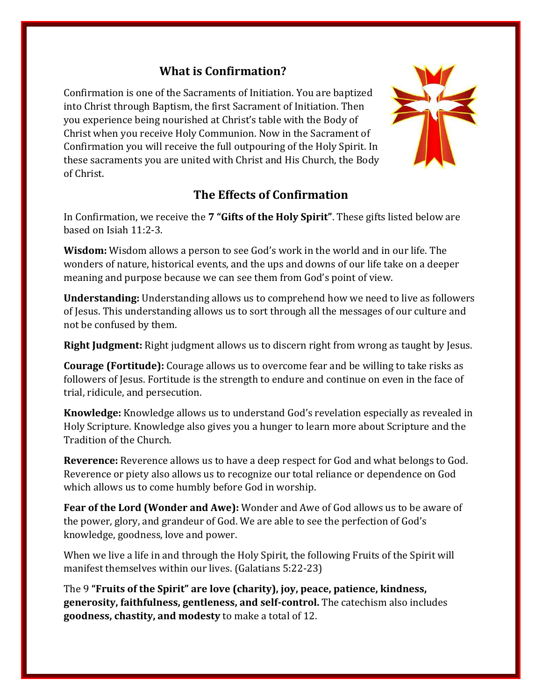## **What is Confirmation?**

Confirmation is one of the Sacraments of Initiation. You are baptized into Christ through Baptism, the first Sacrament of Initiation. Then you experience being nourished at Christ's table with the Body of Christ when you receive Holy Communion. Now in the Sacrament of Confirmation you will receive the full outpouring of the Holy Spirit. In these sacraments you are united with Christ and His Church, the Body of Christ.

# **The Effects of Confirmation**

In Confirmation, we receive the **7 "Gifts of the Holy Spirit"**. These gifts listed below are based on Isiah 11:2-3.

**Wisdom:** Wisdom allows a person to see God's work in the world and in our life. The wonders of nature, historical events, and the ups and downs of our life take on a deeper meaning and purpose because we can see them from God's point of view.

**Understanding:** Understanding allows us to comprehend how we need to live as followers of Jesus. This understanding allows us to sort through all the messages of our culture and not be confused by them.

**Right Judgment:** Right judgment allows us to discern right from wrong as taught by Jesus.

**Courage (Fortitude):** Courage allows us to overcome fear and be willing to take risks as followers of Jesus. Fortitude is the strength to endure and continue on even in the face of trial, ridicule, and persecution.

**Knowledge:** Knowledge allows us to understand God's revelation especially as revealed in Holy Scripture. Knowledge also gives you a hunger to learn more about Scripture and the Tradition of the Church.

**Reverence:** Reverence allows us to have a deep respect for God and what belongs to God. Reverence or piety also allows us to recognize our total reliance or dependence on God which allows us to come humbly before God in worship.

**Fear of the Lord (Wonder and Awe):** Wonder and Awe of God allows us to be aware of the power, glory, and grandeur of God. We are able to see the perfection of God's knowledge, goodness, love and power.

When we live a life in and through the Holy Spirit, the following Fruits of the Spirit will manifest themselves within our lives. (Galatians 5:22-23)

The 9 **"Fruits of the Spirit" are love (charity), joy, peace, patience, kindness, generosity, faithfulness, gentleness, and self-control.** The catechism also includes **goodness, chastity, and modesty** to make a total of 12.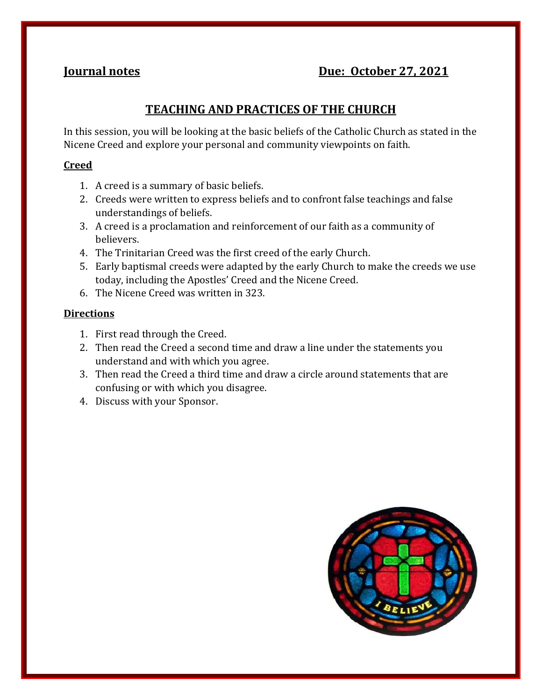## **Iournal notes Due: October 27, 2021**

## **TEACHING AND PRACTICES OF THE CHURCH**

In this session, you will be looking at the basic beliefs of the Catholic Church as stated in the Nicene Creed and explore your personal and community viewpoints on faith.

#### **Creed**

- 1. A creed is a summary of basic beliefs.
- 2. Creeds were written to express beliefs and to confront false teachings and false understandings of beliefs.
- 3. A creed is a proclamation and reinforcement of our faith as a community of believers.
- 4. The Trinitarian Creed was the first creed of the early Church.
- 5. Early baptismal creeds were adapted by the early Church to make the creeds we use today, including the Apostles' Creed and the Nicene Creed.
- 6. The Nicene Creed was written in 323.

#### **Directions**

- 1. First read through the Creed.
- 2. Then read the Creed a second time and draw a line under the statements you understand and with which you agree.
- 3. Then read the Creed a third time and draw a circle around statements that are confusing or with which you disagree.
- 4. Discuss with your Sponsor.

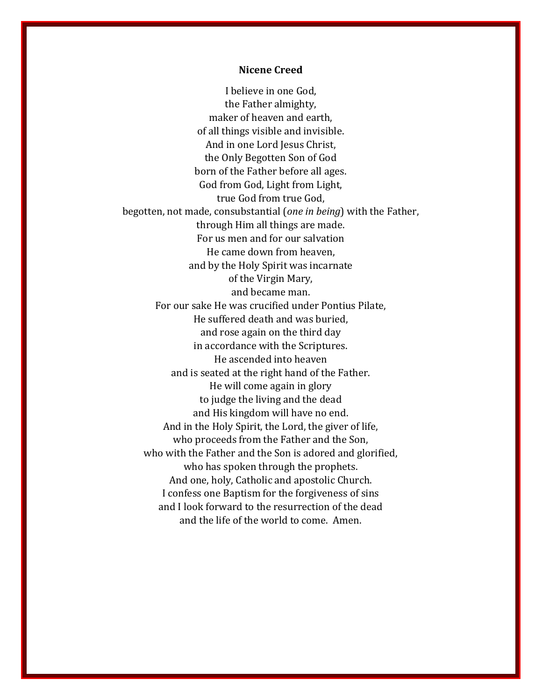#### **Nicene Creed**

I believe in one God, the Father almighty, maker of heaven and earth, of all things visible and invisible. And in one Lord Jesus Christ, the Only Begotten Son of God born of the Father before all ages. God from God, Light from Light, true God from true God, begotten, not made, consubstantial (*one in being*) with the Father, through Him all things are made. For us men and for our salvation He came down from heaven, and by the Holy Spirit was incarnate of the Virgin Mary, and became man. For our sake He was crucified under Pontius Pilate, He suffered death and was buried, and rose again on the third day in accordance with the Scriptures. He ascended into heaven and is seated at the right hand of the Father. He will come again in glory to judge the living and the dead and His kingdom will have no end. And in the Holy Spirit, the Lord, the giver of life, who proceeds from the Father and the Son, who with the Father and the Son is adored and glorified, who has spoken through the prophets. And one, holy, Catholic and apostolic Church. I confess one Baptism for the forgiveness of sins and I look forward to the resurrection of the dead and the life of the world to come. Amen.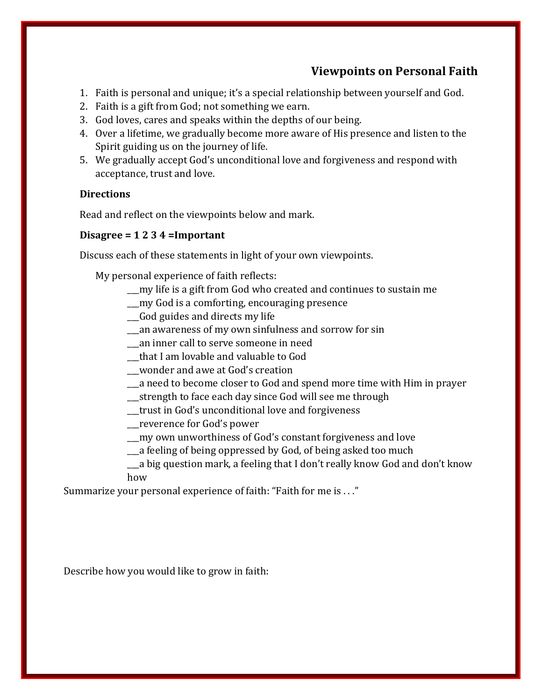## **Viewpoints on Personal Faith**

- 1. Faith is personal and unique; it's a special relationship between yourself and God.
- 2. Faith is a gift from God; not something we earn.
- 3. God loves, cares and speaks within the depths of our being.
- 4. Over a lifetime, we gradually become more aware of His presence and listen to the Spirit guiding us on the journey of life.
- 5. We gradually accept God's unconditional love and forgiveness and respond with acceptance, trust and love.

#### **Directions**

Read and reflect on the viewpoints below and mark.

#### **Disagree = 1 2 3 4 =Important**

Discuss each of these statements in light of your own viewpoints.

My personal experience of faith reflects:

- \_\_\_my life is a gift from God who created and continues to sustain me
- \_\_\_my God is a comforting, encouraging presence
- \_\_\_God guides and directs my life
- \_\_\_an awareness of my own sinfulness and sorrow for sin
- \_\_\_an inner call to serve someone in need
- \_\_\_that I am lovable and valuable to God
- \_\_\_wonder and awe at God's creation
- \_\_\_a need to become closer to God and spend more time with Him in prayer
- \_\_\_strength to face each day since God will see me through
- \_\_\_trust in God's unconditional love and forgiveness
- \_\_\_reverence for God's power
- \_\_\_my own unworthiness of God's constant forgiveness and love
- \_\_\_a feeling of being oppressed by God, of being asked too much
- \_\_\_a big question mark, a feeling that I don't really know God and don't know how

Summarize your personal experience of faith: "Faith for me is . . ."

Describe how you would like to grow in faith: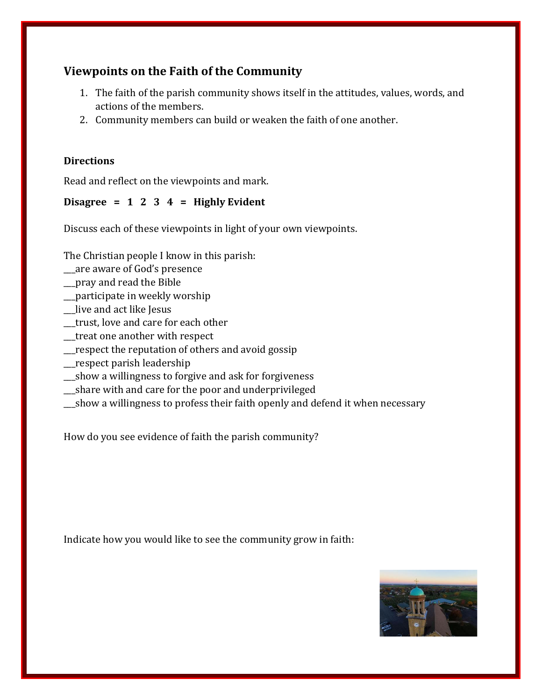## **Viewpoints on the Faith of the Community**

- 1. The faith of the parish community shows itself in the attitudes, values, words, and actions of the members.
- 2. Community members can build or weaken the faith of one another.

#### **Directions**

Read and reflect on the viewpoints and mark.

## **Disagree = 1 2 3 4 = Highly Evident**

Discuss each of these viewpoints in light of your own viewpoints.

The Christian people I know in this parish:

- \_\_\_are aware of God's presence
- \_\_\_pray and read the Bible
- \_\_\_participate in weekly worship
- \_\_\_live and act like Jesus
- \_\_\_trust, love and care for each other
- \_\_\_treat one another with respect
- \_\_\_respect the reputation of others and avoid gossip
- \_\_\_respect parish leadership
- \_\_\_show a willingness to forgive and ask for forgiveness
- \_\_\_share with and care for the poor and underprivileged
- \_\_\_show a willingness to profess their faith openly and defend it when necessary

How do you see evidence of faith the parish community?

Indicate how you would like to see the community grow in faith:

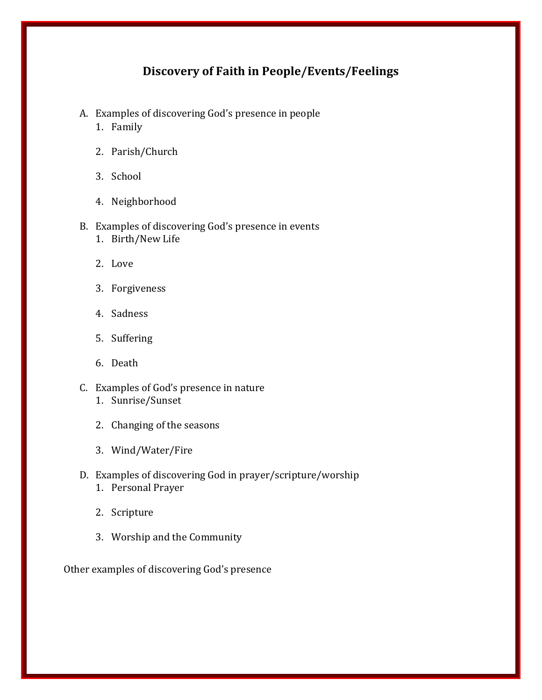## **Discovery of Faith in People/Events/Feelings**

- A. Examples of discovering God's presence in people
	- 1. Family
	- 2. Parish/Church
	- 3. School
	- 4. Neighborhood

#### B. Examples of discovering God's presence in events

- 1. Birth/New Life
- 2. Love
- 3. Forgiveness
- 4. Sadness
- 5. Suffering
- 6. Death
- C. Examples of God's presence in nature 1. Sunrise/Sunset
	- 2. Changing of the seasons
	- 3. Wind/Water/Fire
- D. Examples of discovering God in prayer/scripture/worship
	- 1. Personal Prayer
	- 2. Scripture
	- 3. Worship and the Community

Other examples of discovering God's presence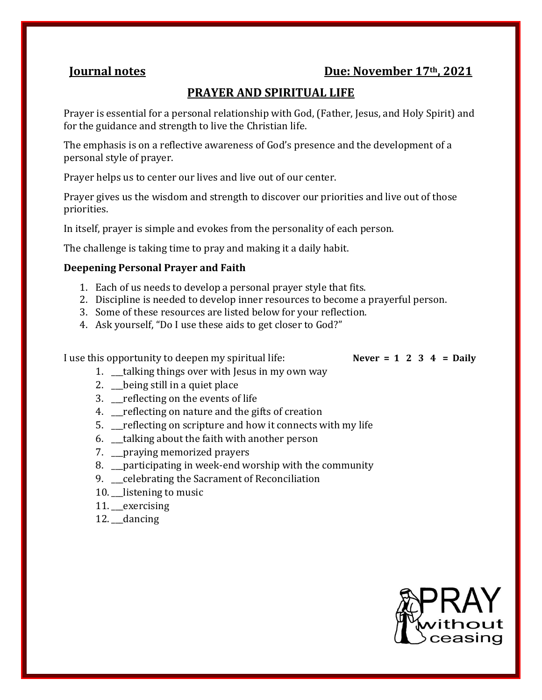## **Iournal notes Due: November 17<sup>th</sup>, 2021**

## **PRAYER AND SPIRITUAL LIFE**

Prayer is essential for a personal relationship with God, (Father, Jesus, and Holy Spirit) and for the guidance and strength to live the Christian life.

The emphasis is on a reflective awareness of God's presence and the development of a personal style of prayer.

Prayer helps us to center our lives and live out of our center.

Prayer gives us the wisdom and strength to discover our priorities and live out of those priorities.

In itself, prayer is simple and evokes from the personality of each person.

The challenge is taking time to pray and making it a daily habit.

#### **Deepening Personal Prayer and Faith**

- 1. Each of us needs to develop a personal prayer style that fits.
- 2. Discipline is needed to develop inner resources to become a prayerful person.
- 3. Some of these resources are listed below for your reflection.
- 4. Ask yourself, "Do I use these aids to get closer to God?"

I use this opportunity to deepen my spiritual life: **Never = 1 2 3 4 = Daily**

- 1. \_\_\_talking things over with Jesus in my own way
- 2. \_\_\_being still in a quiet place
- 3. The reflecting on the events of life
- 4. \_\_\_reflecting on nature and the gifts of creation
- 5. \_\_\_reflecting on scripture and how it connects with my life
- 6. \_\_\_talking about the faith with another person
- 7. \_\_\_praying memorized prayers
- 8. \_\_\_participating in week-end worship with the community
- 9. Leelebrating the Sacrament of Reconciliation
- 10. listening to music
- 11. exercising
- 12. \_\_dancing

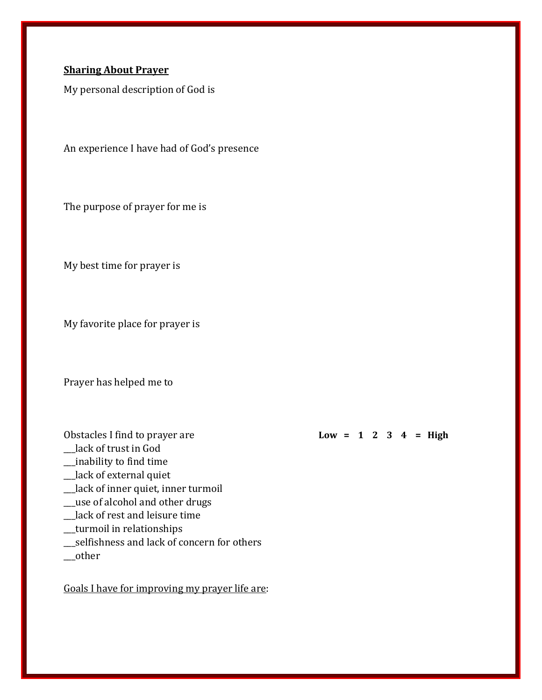#### **Sharing About Prayer**

My personal description of God is

An experience I have had of God's presence

The purpose of prayer for me is

My best time for prayer is

My favorite place for prayer is

Prayer has helped me to

Obstacles I find to prayer are **Low = 1 2 3 4 = High**

- \_\_\_lack of trust in God
- \_\_\_inability to find time
- \_lack of external quiet
- \_\_\_lack of inner quiet, inner turmoil
- \_\_\_use of alcohol and other drugs
- \_\_\_lack of rest and leisure time
- \_\_\_turmoil in relationships
- \_\_\_selfishness and lack of concern for others
- \_\_\_other

Goals I have for improving my prayer life are: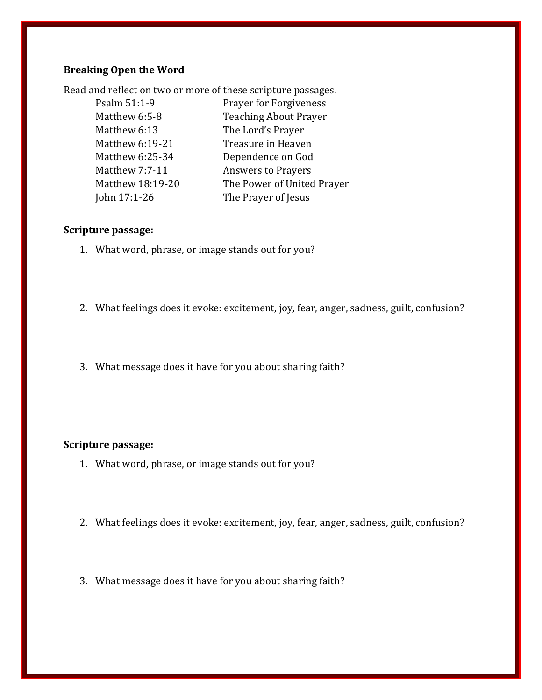## **Breaking Open the Word**

Read and reflect on two or more of these scripture passages.

| Psalm 51:1-9          | <b>Prayer for Forgiveness</b> |
|-----------------------|-------------------------------|
| Matthew 6:5-8         | <b>Teaching About Prayer</b>  |
| Matthew 6:13          | The Lord's Prayer             |
| Matthew 6:19-21       | Treasure in Heaven            |
| Matthew 6:25-34       | Dependence on God             |
| <b>Matthew 7:7-11</b> | <b>Answers to Prayers</b>     |
| Matthew 18:19-20      | The Power of United Prayer    |
| John 17:1-26          | The Prayer of Jesus           |
|                       |                               |

#### **Scripture passage:**

- 1. What word, phrase, or image stands out for you?
- 2. What feelings does it evoke: excitement, joy, fear, anger, sadness, guilt, confusion?
- 3. What message does it have for you about sharing faith?

#### **Scripture passage:**

- 1. What word, phrase, or image stands out for you?
- 2. What feelings does it evoke: excitement, joy, fear, anger, sadness, guilt, confusion?
- 3. What message does it have for you about sharing faith?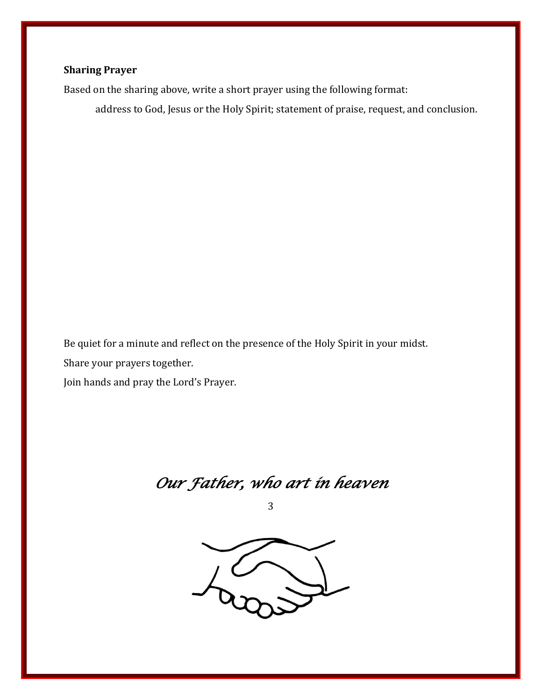## **Sharing Prayer**

Based on the sharing above, write a short prayer using the following format:

address to God, Jesus or the Holy Spirit; statement of praise, request, and conclusion.

Be quiet for a minute and reflect on the presence of the Holy Spirit in your midst. Share your prayers together.

Join hands and pray the Lord's Prayer.

*Our Father, who art in heaven* 

3

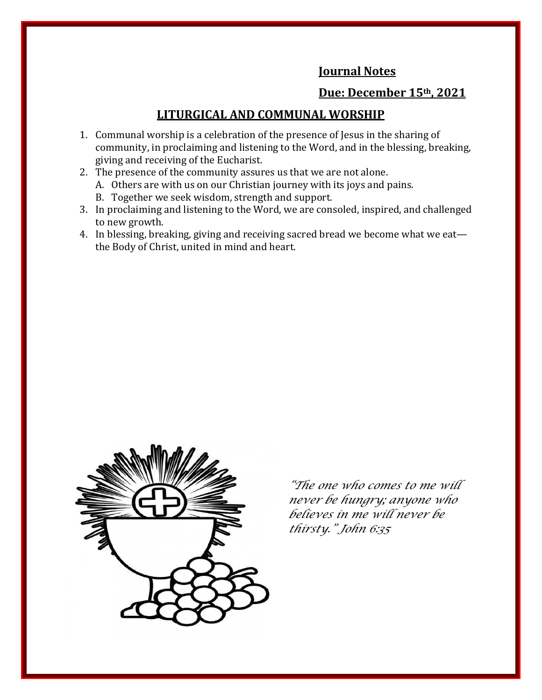## **Journal Notes**

## **Due: December 15th, 2021**

## **LITURGICAL AND COMMUNAL WORSHIP**

- 1. Communal worship is a celebration of the presence of Jesus in the sharing of community, in proclaiming and listening to the Word, and in the blessing, breaking, giving and receiving of the Eucharist.
- 2. The presence of the community assures us that we are not alone.
	- A. Others are with us on our Christian journey with its joys and pains.
	- B. Together we seek wisdom, strength and support.
- 3. In proclaiming and listening to the Word, we are consoled, inspired, and challenged to new growth.
- 4. In blessing, breaking, giving and receiving sacred bread we become what we eat the Body of Christ, united in mind and heart.



*"The one who comes to me will never be hungry; anyone who believes in me will never be thirsty." John 6:35*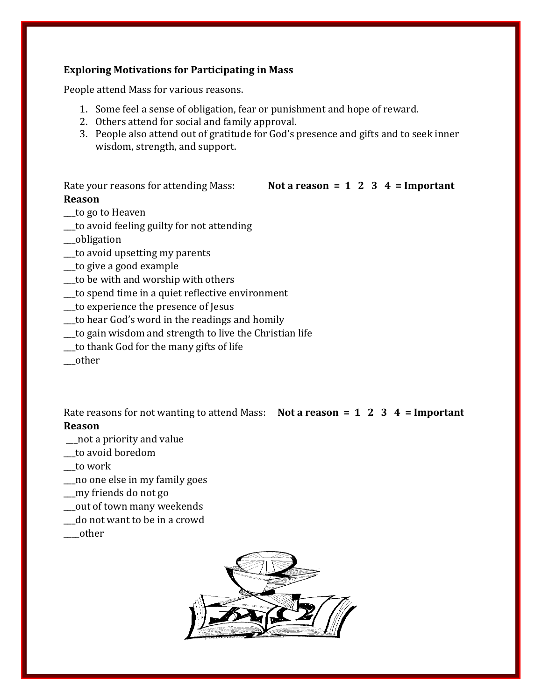#### **Exploring Motivations for Participating in Mass**

People attend Mass for various reasons.

- 1. Some feel a sense of obligation, fear or punishment and hope of reward.
- 2. Others attend for social and family approval.
- 3. People also attend out of gratitude for God's presence and gifts and to seek inner wisdom, strength, and support.

Rate your reasons for attending Mass: **Not a reason = 1 2 3 4 = Important** 

#### **Reason**

- \_\_\_to go to Heaven
- \_\_\_to avoid feeling guilty for not attending
- \_\_\_obligation
- \_\_\_to avoid upsetting my parents
- \_\_\_to give a good example
- \_\_\_to be with and worship with others
- \_\_\_to spend time in a quiet reflective environment
- \_\_\_to experience the presence of Jesus
- \_\_\_to hear God's word in the readings and homily
- \_\_\_to gain wisdom and strength to live the Christian life
- \_\_\_to thank God for the many gifts of life
- \_\_\_other

Rate reasons for not wanting to attend Mass: **Not a reason = 1 2 3 4 = Important Reason**

- \_\_\_not a priority and value
- \_\_\_to avoid boredom
- \_\_\_to work
- \_\_\_no one else in my family goes
- \_\_\_my friends do not go
- \_\_\_out of town many weekends
- \_\_\_do not want to be in a crowd
- \_\_\_\_other

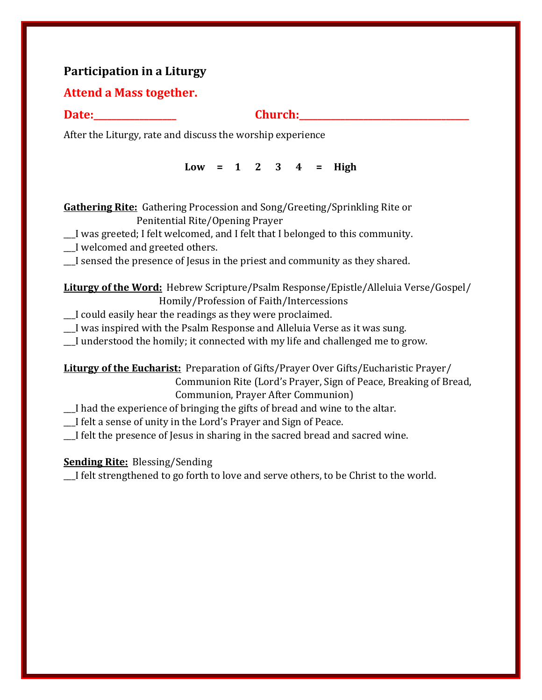## **Participation in a Liturgy**

## **Attend a Mass together.**

#### **Date: Church:**

After the Liturgy, rate and discuss the worship experience

**Low = 1 2 3 4 = High**

| <b>Gathering Rite:</b> Gathering Procession and Song/Greeting/Sprinkling Rite or |  |
|----------------------------------------------------------------------------------|--|
| Penitential Rite/Opening Prayer                                                  |  |

\_\_\_I was greeted; I felt welcomed, and I felt that I belonged to this community.

\_\_\_I welcomed and greeted others.

\_\_\_I sensed the presence of Jesus in the priest and community as they shared.

## **Liturgy of the Word:** Hebrew Scripture/Psalm Response/Epistle/Alleluia Verse/Gospel/ Homily/Profession of Faith/Intercessions

\_\_\_I could easily hear the readings as they were proclaimed.

\_\_\_I was inspired with the Psalm Response and Alleluia Verse as it was sung.

I understood the homily; it connected with my life and challenged me to grow.

**Liturgy of the Eucharist:** Preparation of Gifts/Prayer Over Gifts/Eucharistic Prayer/ Communion Rite (Lord's Prayer, Sign of Peace, Breaking of Bread, Communion, Prayer After Communion)

\_\_\_I had the experience of bringing the gifts of bread and wine to the altar.

\_\_\_I felt a sense of unity in the Lord's Prayer and Sign of Peace.

I felt the presence of Jesus in sharing in the sacred bread and sacred wine.

## **Sending Rite:** Blessing/Sending

\_\_\_I felt strengthened to go forth to love and serve others, to be Christ to the world.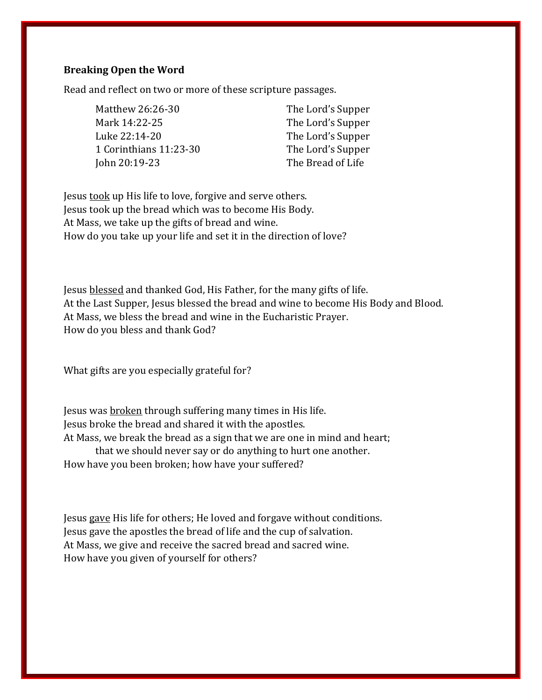#### **Breaking Open the Word**

Read and reflect on two or more of these scripture passages.

Matthew 26:26-30 The Lord's Supper Mark 14:22-25 The Lord's Supper Luke 22:14-20 The Lord's Supper 1 Corinthians 11:23-30 The Lord's Supper John 20:19-23 The Bread of Life

Jesus took up His life to love, forgive and serve others. Jesus took up the bread which was to become His Body. At Mass, we take up the gifts of bread and wine. How do you take up your life and set it in the direction of love?

Jesus blessed and thanked God, His Father, for the many gifts of life. At the Last Supper, Jesus blessed the bread and wine to become His Body and Blood. At Mass, we bless the bread and wine in the Eucharistic Prayer. How do you bless and thank God?

What gifts are you especially grateful for?

Jesus was broken through suffering many times in His life. Jesus broke the bread and shared it with the apostles. At Mass, we break the bread as a sign that we are one in mind and heart; that we should never say or do anything to hurt one another. How have you been broken; how have your suffered?

Jesus gave His life for others; He loved and forgave without conditions. Jesus gave the apostles the bread of life and the cup of salvation. At Mass, we give and receive the sacred bread and sacred wine. How have you given of yourself for others?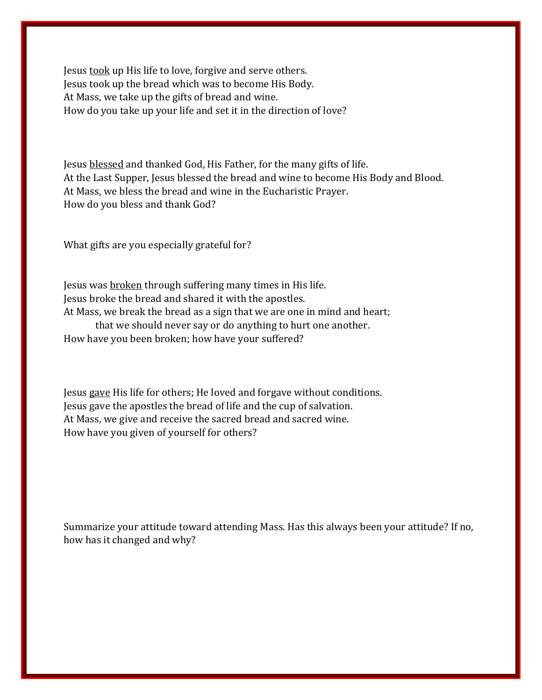Jesus took up His life to love, forgive and serve others. Jesus took up the bread which was to become His Body. At Mass, we take up the gifts of bread and wine. How do you take up your life and set it in the direction of love?

Jesus blessed and thanked God, His Father, for the many gifts of life. At the Last Supper, Jesus blessed the bread and wine to become His Body and Blood. At Mass, we bless the bread and wine in the Eucharistic Prayer. How do you bless and thank God?

What gifts are you especially grateful for?

Jesus was broken through suffering many times in His life. Jesus broke the bread and shared it with the apostles. At Mass, we break the bread as a sign that we are one in mind and heart; that we should never say or do anything to hurt one another. How have you been broken; how have your suffered?

Jesus gave His life for others; He loved and forgave without conditions. Jesus gave the apostles the bread of life and the cup of salvation. At Mass, we give and receive the sacred bread and sacred wine. How have you given of yourself for others?

Summarize your attitude toward attending Mass. Has this always been your attitude? If no, how has it changed and why?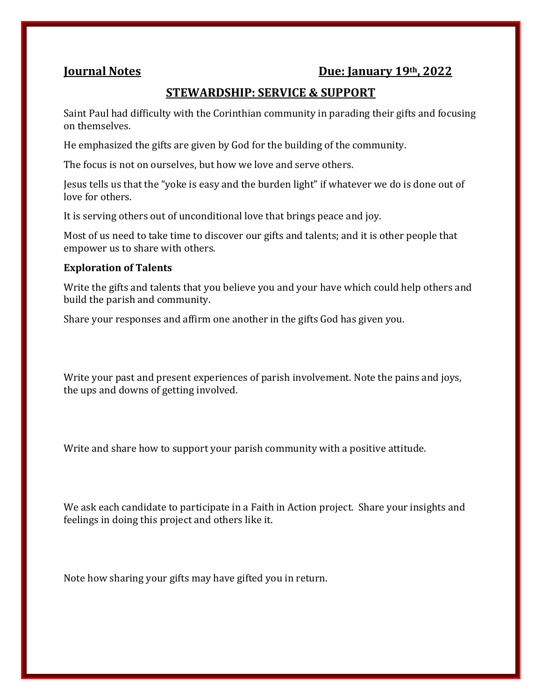## **Journal Notes Due: January 19th, 2022**

## **STEWARDSHIP: SERVICE & SUPPORT**

Saint Paul had difficulty with the Corinthian community in parading their gifts and focusing on themselves.

He emphasized the gifts are given by God for the building of the community.

The focus is not on ourselves, but how we love and serve others.

Jesus tells us that the "yoke is easy and the burden light" if whatever we do is done out of love for others.

It is serving others out of unconditional love that brings peace and joy.

Most of us need to take time to discover our gifts and talents; and it is other people that empower us to share with others.

#### **Exploration of Talents**

Write the gifts and talents that you believe you and your have which could help others and build the parish and community.

Share your responses and affirm one another in the gifts God has given you.

Write your past and present experiences of parish involvement. Note the pains and joys, the ups and downs of getting involved.

Write and share how to support your parish community with a positive attitude.

We ask each candidate to participate in a Faith in Action project. Share your insights and feelings in doing this project and others like it.

Note how sharing your gifts may have gifted you in return.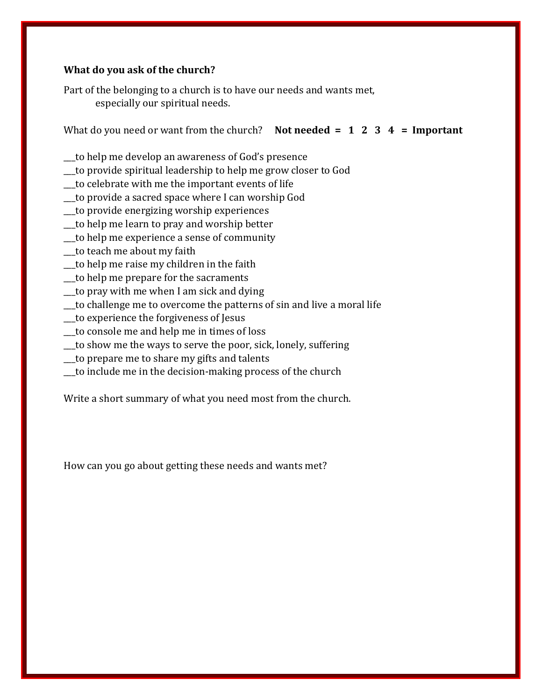#### **What do you ask of the church?**

Part of the belonging to a church is to have our needs and wants met, especially our spiritual needs.

What do you need or want from the church? **Not needed = 1 2 3 4 = Important**

- \_\_\_to help me develop an awareness of God's presence
- \_\_\_to provide spiritual leadership to help me grow closer to God
- \_\_\_to celebrate with me the important events of life
- \_\_\_to provide a sacred space where I can worship God
- \_\_\_to provide energizing worship experiences
- \_\_\_to help me learn to pray and worship better
- \_\_\_to help me experience a sense of community
- \_\_\_to teach me about my faith
- \_\_\_to help me raise my children in the faith
- \_\_\_to help me prepare for the sacraments
- \_\_\_to pray with me when I am sick and dying
- \_\_\_to challenge me to overcome the patterns of sin and live a moral life
- \_\_\_to experience the forgiveness of Jesus
- \_\_\_to console me and help me in times of loss
- \_\_\_to show me the ways to serve the poor, sick, lonely, suffering
- \_\_\_to prepare me to share my gifts and talents
- \_\_\_to include me in the decision-making process of the church

Write a short summary of what you need most from the church.

How can you go about getting these needs and wants met?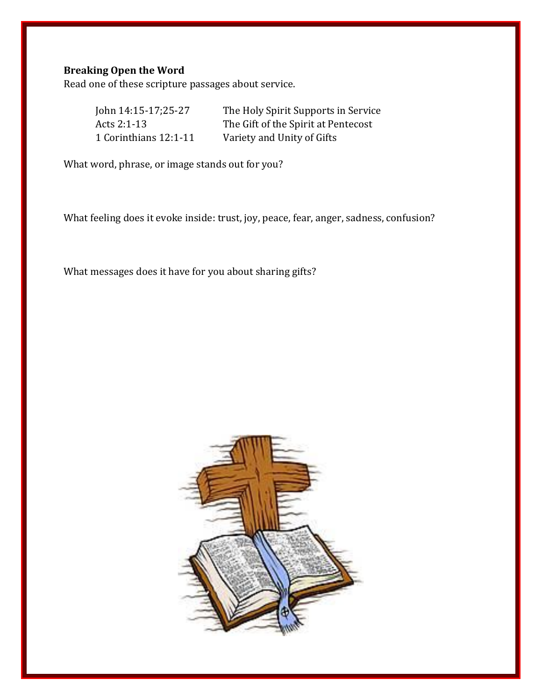## **Breaking Open the Word**

Read one of these scripture passages about service.

| John 14:15-17;25-27   | The Holy Spirit Supports in Service |
|-----------------------|-------------------------------------|
| Acts 2:1-13           | The Gift of the Spirit at Pentecost |
| 1 Corinthians 12:1-11 | Variety and Unity of Gifts          |

What word, phrase, or image stands out for you?

What feeling does it evoke inside: trust, joy, peace, fear, anger, sadness, confusion?

What messages does it have for you about sharing gifts?

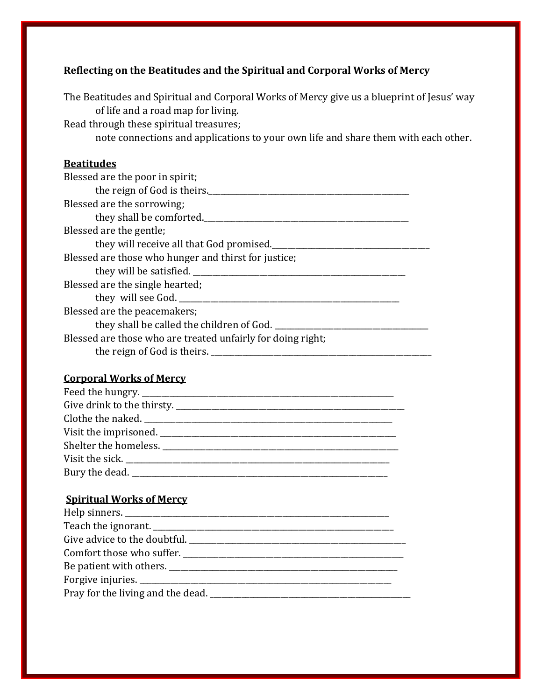## **Reflecting on the Beatitudes and the Spiritual and Corporal Works of Mercy**

The Beatitudes and Spiritual and Corporal Works of Mercy give us a blueprint of Jesus' way of life and a road map for living.

Read through these spiritual treasures;

note connections and applications to your own life and share them with each other.

## **Beatitudes**

| Blessed are the poor in spirit;                             |  |  |
|-------------------------------------------------------------|--|--|
| the reign of God is theirs.                                 |  |  |
| Blessed are the sorrowing;                                  |  |  |
| they shall be comforted.                                    |  |  |
| Blessed are the gentle;                                     |  |  |
| they will receive all that God promised.                    |  |  |
| Blessed are those who hunger and thirst for justice;        |  |  |
| they will be satisfied.                                     |  |  |
| Blessed are the single hearted;                             |  |  |
| they will see God.                                          |  |  |
| Blessed are the peacemakers;                                |  |  |
| they shall be called the children of God. ______            |  |  |
| Blessed are those who are treated unfairly for doing right; |  |  |
| the reign of God is theirs.                                 |  |  |

#### **Corporal Works of Mercy**

#### **Spiritual Works of Mercy**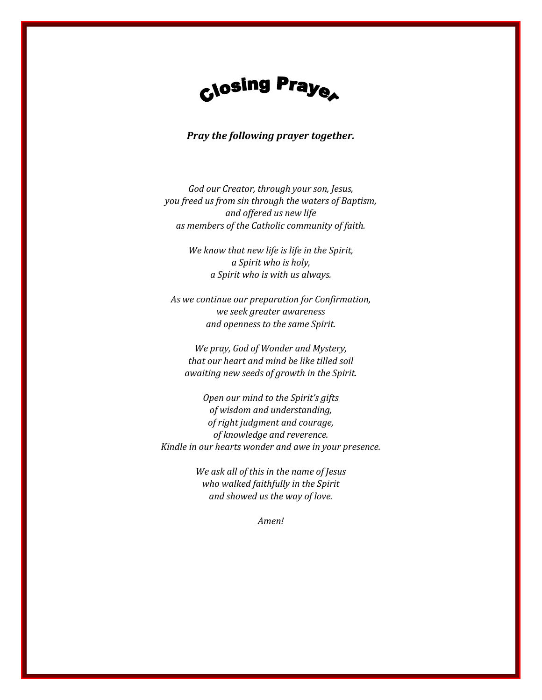

#### *Pray the following prayer together.*

*God our Creator, through your son, Jesus, you freed us from sin through the waters of Baptism, and offered us new life as members of the Catholic community of faith.* 

> *We know that new life is life in the Spirit, a Spirit who is holy, a Spirit who is with us always.*

*As we continue our preparation for Confirmation, we seek greater awareness and openness to the same Spirit.* 

*We pray, God of Wonder and Mystery, that our heart and mind be like tilled soil awaiting new seeds of growth in the Spirit.* 

*Open our mind to the Spirit's gifts of wisdom and understanding, of right judgment and courage, of knowledge and reverence. Kindle in our hearts wonder and awe in your presence.* 

> *We ask all of this in the name of Jesus who walked faithfully in the Spirit and showed us the way of love.*

> > *Amen!*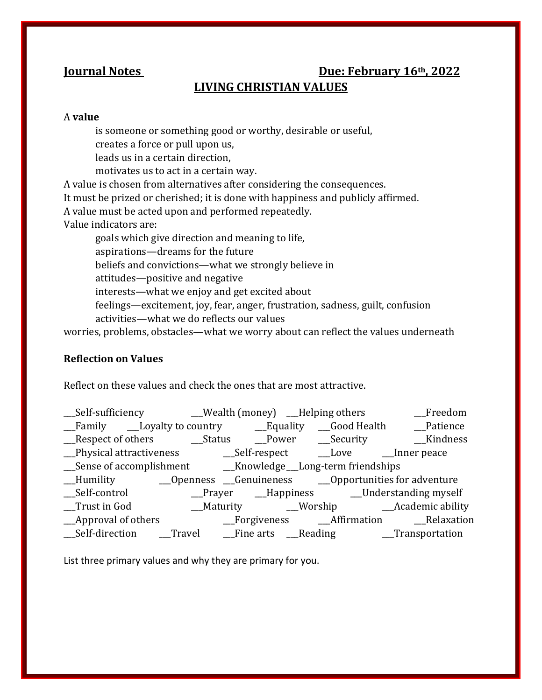## **Iournal Notes Due: February 16<sup>th</sup>, 2022 LIVING CHRISTIAN VALUES**

#### A **value**

is someone or something good or worthy, desirable or useful, creates a force or pull upon us,

leads us in a certain direction,

motivates us to act in a certain way.

A value is chosen from alternatives after considering the consequences.

It must be prized or cherished; it is done with happiness and publicly affirmed.

A value must be acted upon and performed repeatedly.

Value indicators are:

goals which give direction and meaning to life, aspirations—dreams for the future

beliefs and convictions—what we strongly believe in

attitudes—positive and negative

interests—what we enjoy and get excited about

feelings—excitement, joy, fear, anger, frustration, sadness, guilt, confusion activities—what we do reflects our values

worries, problems, obstacles—what we worry about can reflect the values underneath

#### **Reflection on Values**

Reflect on these values and check the ones that are most attractive.

|                                                                             |  | __Self-sufficiency ________Wealth (money) ___Helping others |  | $_F$ reedom                                  |
|-----------------------------------------------------------------------------|--|-------------------------------------------------------------|--|----------------------------------------------|
|                                                                             |  |                                                             |  |                                              |
|                                                                             |  |                                                             |  |                                              |
|                                                                             |  |                                                             |  |                                              |
|                                                                             |  |                                                             |  |                                              |
|                                                                             |  |                                                             |  |                                              |
| __Self-control                                                              |  |                                                             |  | _Prayer __Happiness ____Understanding myself |
| Trust in God                                                                |  |                                                             |  |                                              |
| _Approval of others                                                         |  |                                                             |  | Forgiveness Affirmation Relaxation           |
| __Self-direction ___Travel ___Fine arts ___Reading __________Transportation |  |                                                             |  |                                              |

List three primary values and why they are primary for you.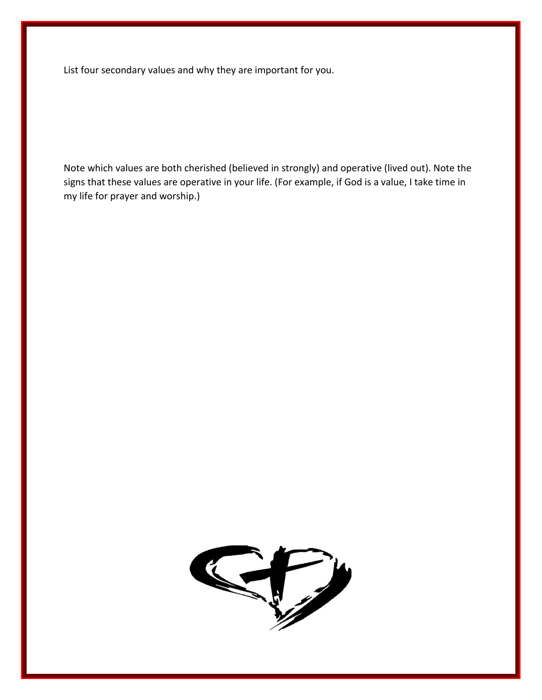List four secondary values and why they are important for you.

Note which values are both cherished (believed in strongly) and operative (lived out). Note the signs that these values are operative in your life. (For example, if God is a value, I take time in my life for prayer and worship.)

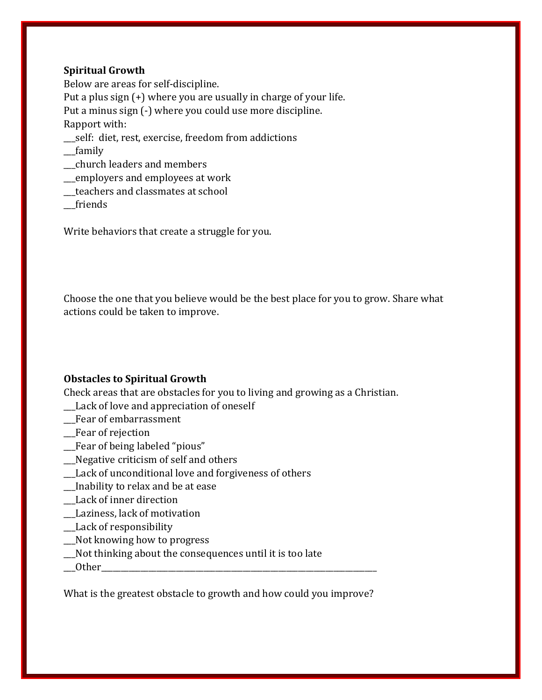#### **Spiritual Growth**

Below are areas for self-discipline. Put a plus sign (+) where you are usually in charge of your life. Put a minus sign (-) where you could use more discipline. Rapport with: \_\_\_self: diet, rest, exercise, freedom from addictions

\_\_\_family

- \_\_\_church leaders and members
- \_\_\_employers and employees at work
- \_\_\_teachers and classmates at school

\_\_\_friends

Write behaviors that create a struggle for you.

Choose the one that you believe would be the best place for you to grow. Share what actions could be taken to improve.

#### **Obstacles to Spiritual Growth**

Check areas that are obstacles for you to living and growing as a Christian.

- \_\_\_Lack of love and appreciation of oneself
- \_\_\_Fear of embarrassment
- \_\_\_Fear of rejection
- \_\_\_Fear of being labeled "pious"
- \_\_\_Negative criticism of self and others
- \_\_\_Lack of unconditional love and forgiveness of others
- \_\_\_Inability to relax and be at ease
- \_\_\_Lack of inner direction
- \_\_\_Laziness, lack of motivation
- \_\_Lack of responsibility
- \_\_\_Not knowing how to progress
- \_\_\_Not thinking about the consequences until it is too late
- \_\_\_Other\_\_\_\_\_\_\_\_\_\_\_\_\_\_\_\_\_\_\_\_\_\_\_\_\_\_\_\_\_\_\_\_\_\_\_\_\_\_\_\_\_\_\_\_\_\_\_\_\_\_\_\_\_\_\_\_\_\_\_\_\_\_\_\_\_\_\_\_\_\_

What is the greatest obstacle to growth and how could you improve?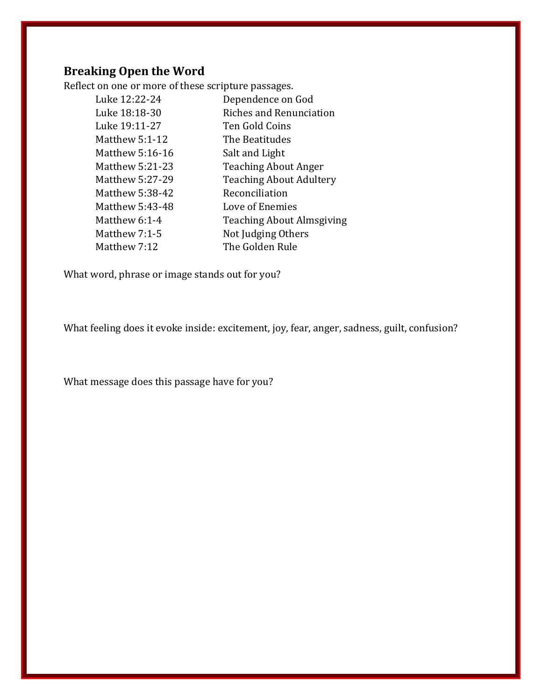## **Breaking Open the Word**

Reflect on one or more of these scripture passages.

| Luke 12:22-24   | Dependence on God                |
|-----------------|----------------------------------|
| Luke 18:18-30   | <b>Riches and Renunciation</b>   |
| Luke 19:11-27   | Ten Gold Coins                   |
| Matthew 5:1-12  | The Beatitudes                   |
| Matthew 5:16-16 | Salt and Light                   |
| Matthew 5:21-23 | <b>Teaching About Anger</b>      |
| Matthew 5:27-29 | <b>Teaching About Adultery</b>   |
| Matthew 5:38-42 | Reconciliation                   |
| Matthew 5:43-48 | Love of Enemies                  |
| Matthew 6:1-4   | <b>Teaching About Almsgiving</b> |
| Matthew 7:1-5   | Not Judging Others               |
| Matthew 7:12    | The Golden Rule                  |

What word, phrase or image stands out for you?

What feeling does it evoke inside: excitement, joy, fear, anger, sadness, guilt, confusion?

What message does this passage have for you?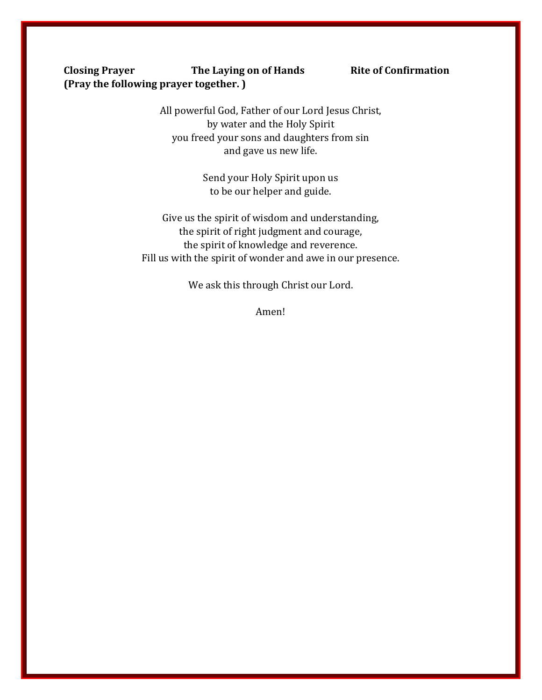### **Closing Prayer The Laying on of Hands Rite of Confirmation (Pray the following prayer together. )**

All powerful God, Father of our Lord Jesus Christ, by water and the Holy Spirit you freed your sons and daughters from sin and gave us new life.

> Send your Holy Spirit upon us to be our helper and guide.

Give us the spirit of wisdom and understanding, the spirit of right judgment and courage, the spirit of knowledge and reverence. Fill us with the spirit of wonder and awe in our presence.

We ask this through Christ our Lord.

Amen!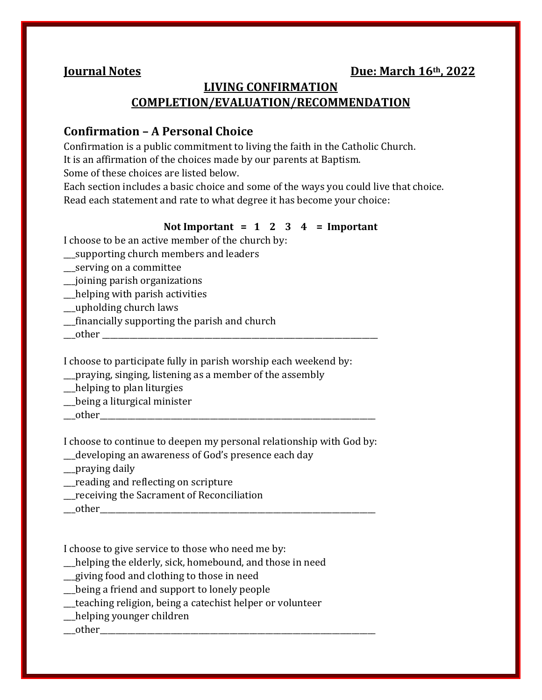## **LIVING CONFIRMATION COMPLETION/EVALUATION/RECOMMENDATION**

## **Confirmation – A Personal Choice**

Confirmation is a public commitment to living the faith in the Catholic Church. It is an affirmation of the choices made by our parents at Baptism.

Some of these choices are listed below.

Each section includes a basic choice and some of the ways you could live that choice. Read each statement and rate to what degree it has become your choice:

#### **Not Important = 1 2 3 4 = Important**

I choose to be an active member of the church by:

- \_\_\_supporting church members and leaders
- \_\_\_serving on a committee
- \_\_\_joining parish organizations
- \_\_\_helping with parish activities
- \_\_\_upholding church laws
- \_\_\_financially supporting the parish and church
- \_\_\_other \_\_\_\_\_\_\_\_\_\_\_\_\_\_\_\_\_\_\_\_\_\_\_\_\_\_\_\_\_\_\_\_\_\_\_\_\_\_\_\_\_\_\_\_\_\_\_\_\_\_\_\_\_\_\_\_\_\_\_\_\_\_\_\_\_\_\_\_\_\_

I choose to participate fully in parish worship each weekend by:

\_\_\_praying, singing, listening as a member of the assembly

- \_\_\_helping to plan liturgies
- \_\_\_being a liturgical minister
- \_\_\_other\_\_\_\_\_\_\_\_\_\_\_\_\_\_\_\_\_\_\_\_\_\_\_\_\_\_\_\_\_\_\_\_\_\_\_\_\_\_\_\_\_\_\_\_\_\_\_\_\_\_\_\_\_\_\_\_\_\_\_\_\_\_\_\_\_\_\_\_\_\_

I choose to continue to deepen my personal relationship with God by:

\_\_\_developing an awareness of God's presence each day

- \_\_\_praying daily
- \_\_\_reading and reflecting on scripture
- \_\_\_receiving the Sacrament of Reconciliation
- $\blacksquare$  other

I choose to give service to those who need me by:

\_\_\_helping the elderly, sick, homebound, and those in need

- \_\_\_giving food and clothing to those in need
- \_\_\_being a friend and support to lonely people
- \_\_\_teaching religion, being a catechist helper or volunteer
- \_\_\_helping younger children

\_\_\_other\_\_\_\_\_\_\_\_\_\_\_\_\_\_\_\_\_\_\_\_\_\_\_\_\_\_\_\_\_\_\_\_\_\_\_\_\_\_\_\_\_\_\_\_\_\_\_\_\_\_\_\_\_\_\_\_\_\_\_\_\_\_\_\_\_\_\_\_\_\_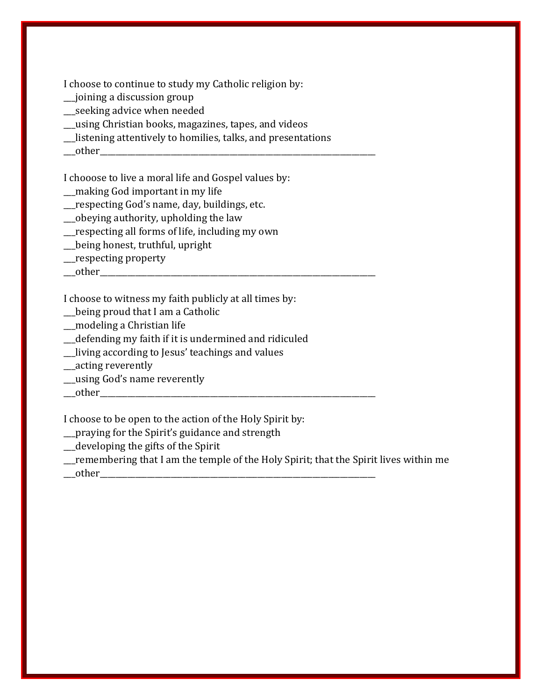I choose to continue to study my Catholic religion by:

- \_\_\_joining a discussion group
- \_\_\_seeking advice when needed
- \_\_\_using Christian books, magazines, tapes, and videos
- \_\_\_listening attentively to homilies, talks, and presentations
- $\rule{1em}{0.15mm} \begin{array}{|l} \hline \text{other} \end{array}$

I chooose to live a moral life and Gospel values by:

- \_\_\_making God important in my life
- \_\_\_respecting God's name, day, buildings, etc.
- \_\_\_obeying authority, upholding the law
- \_\_\_respecting all forms of life, including my own
- \_\_\_being honest, truthful, upright
- \_\_\_respecting property
- $\rule{1em}{0.15mm} \text{other}$

I choose to witness my faith publicly at all times by:

- \_\_\_being proud that I am a Catholic
- \_\_\_modeling a Christian life
- \_\_\_defending my faith if it is undermined and ridiculed
- \_\_\_living according to Jesus' teachings and values
- \_\_\_acting reverently
- \_\_\_using God's name reverently
- $\text{\_other\_}$

I choose to be open to the action of the Holy Spirit by:

- \_\_\_praying for the Spirit's guidance and strength
- \_\_\_developing the gifts of the Spirit
- \_\_\_remembering that I am the temple of the Holy Spirit; that the Spirit lives within me
- $\_\text{other}$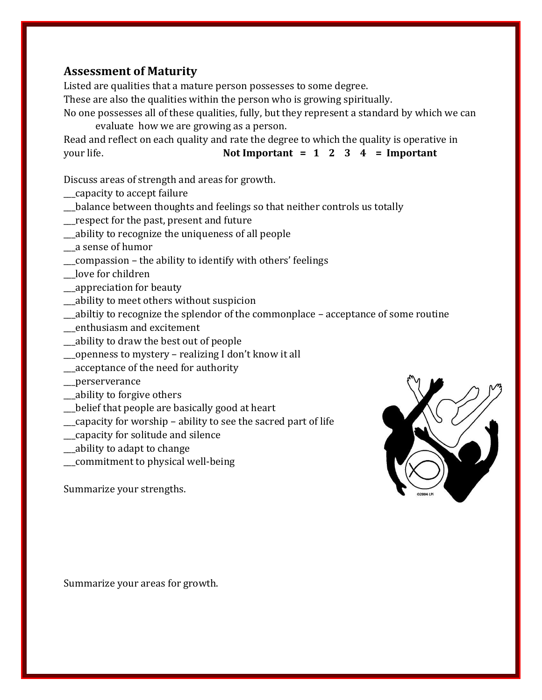## **Assessment of Maturity**

Listed are qualities that a mature person possesses to some degree.

These are also the qualities within the person who is growing spiritually.

No one possesses all of these qualities, fully, but they represent a standard by which we can evaluate how we are growing as a person.

Read and reflect on each quality and rate the degree to which the quality is operative in your life. **Not Important = 1 2 3 4 = Important**

Discuss areas of strength and areas for growth.

- \_\_\_capacity to accept failure
- \_\_\_balance between thoughts and feelings so that neither controls us totally
- \_\_\_respect for the past, present and future
- \_\_\_ability to recognize the uniqueness of all people
- \_\_\_a sense of humor
- \_\_\_compassion the ability to identify with others' feelings
- \_\_\_love for children
- \_\_\_appreciation for beauty
- \_\_\_ability to meet others without suspicion
- \_\_\_abiltiy to recognize the splendor of the commonplace acceptance of some routine
- \_\_\_enthusiasm and excitement
- \_\_\_ability to draw the best out of people
- \_\_\_openness to mystery realizing I don't know it all
- \_\_\_acceptance of the need for authority
- \_\_\_perserverance
- \_\_\_ability to forgive others
- \_\_\_belief that people are basically good at heart
- \_\_\_capacity for worship ability to see the sacred part of life
- \_\_\_capacity for solitude and silence
- \_\_\_ability to adapt to change
- \_\_\_commitment to physical well-being

Summarize your strengths.



Summarize your areas for growth.